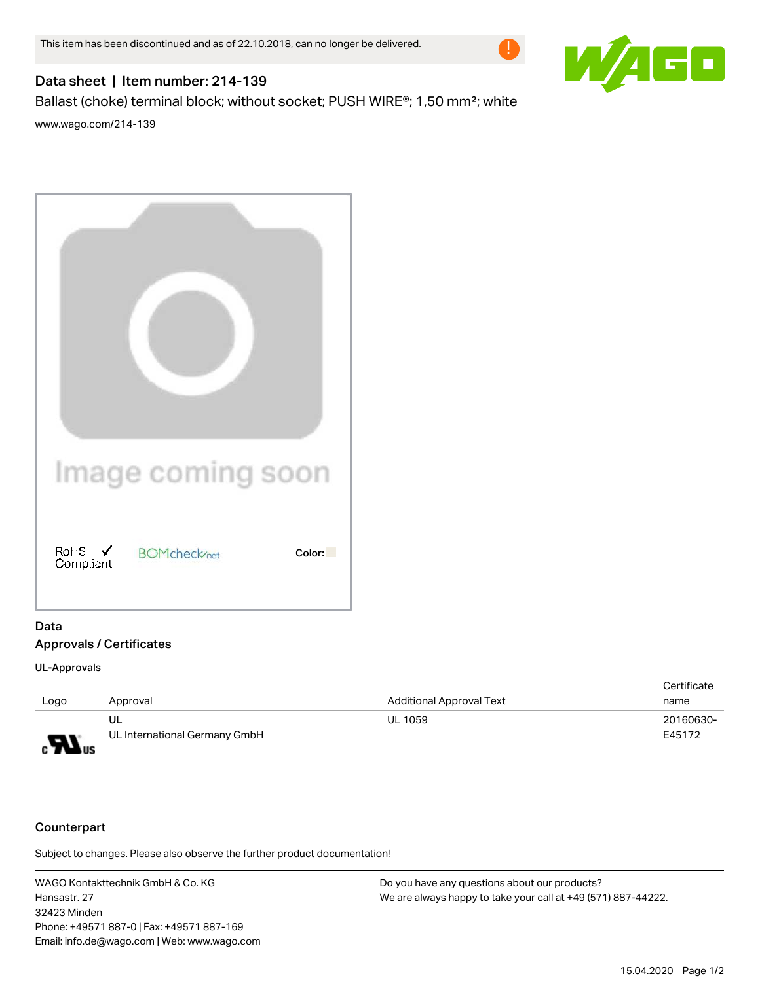

## Data sheet | Item number: 214-139

Ballast (choke) terminal block; without socket; PUSH WIRE®; 1,50 mm<sup>2</sup>; white

[www.wago.com/214-139](http://www.wago.com/214-139)

|                                | Image coming soon    |        |
|--------------------------------|----------------------|--------|
| RoHS $\checkmark$<br>Compliant | <b>BOMcheck</b> /net | Color: |

## Data Approvals / Certificates

## UL-Approvals

|                              |                               |                                 | Certificate |
|------------------------------|-------------------------------|---------------------------------|-------------|
| Logo                         | Approval                      | <b>Additional Approval Text</b> | name        |
|                              | UL                            | <b>UL 1059</b>                  | 20160630-   |
| $\boldsymbol{H}_{\text{us}}$ | UL International Germany GmbH |                                 | E45172      |

## Counterpart

Subject to changes. Please also observe the further product documentation!

WAGO Kontakttechnik GmbH & Co. KG Hansastr. 27 32423 Minden Phone: +49571 887-0 | Fax: +49571 887-169 Email: info.de@wago.com | Web: www.wago.com

Do you have any questions about our products? We are always happy to take your call at +49 (571) 887-44222.